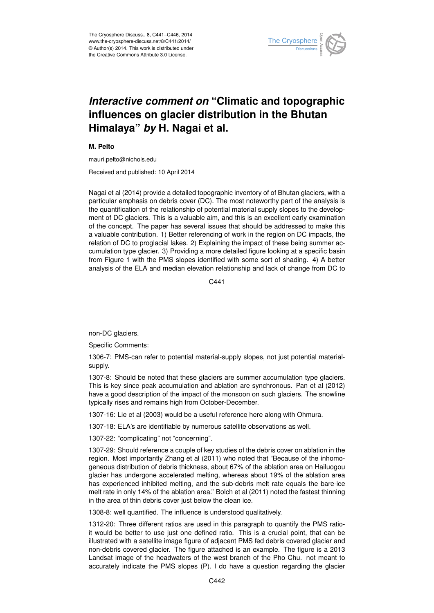

## *Interactive comment on* **"Climatic and topographic influences on glacier distribution in the Bhutan Himalaya"** *by* **H. Nagai et al.**

**M. Pelto**

mauri.pelto@nichols.edu

Received and published: 10 April 2014

Nagai et al (2014) provide a detailed topographic inventory of of Bhutan glaciers, with a particular emphasis on debris cover (DC). The most noteworthy part of the analysis is the quantification of the relationship of potential material supply slopes to the development of DC glaciers. This is a valuable aim, and this is an excellent early examination of the concept. The paper has several issues that should be addressed to make this a valuable contribution. 1) Better referencing of work in the region on DC impacts, the relation of DC to proglacial lakes. 2) Explaining the impact of these being summer accumulation type glacier. 3) Providing a more detailed figure looking at a specific basin from Figure 1 with the PMS slopes identified with some sort of shading. 4) A better analysis of the ELA and median elevation relationship and lack of change from DC to

C<sub>441</sub>

non-DC glaciers.

Specific Comments:

1306-7: PMS-can refer to potential material-supply slopes, not just potential materialsupply.

1307-8: Should be noted that these glaciers are summer accumulation type glaciers. This is key since peak accumulation and ablation are synchronous. Pan et al (2012) have a good description of the impact of the monsoon on such glaciers. The snowline typically rises and remains high from October-December.

1307-16: Lie et al (2003) would be a useful reference here along with Ohmura.

1307-18: ELA's are identifiable by numerous satellite observations as well.

1307-22: "complicating" not "concerning".

1307-29: Should reference a couple of key studies of the debris cover on ablation in the region. Most importantly Zhang et al (2011) who noted that "Because of the inhomogeneous distribution of debris thickness, about 67% of the ablation area on Hailuogou glacier has undergone accelerated melting, whereas about 19% of the ablation area has experienced inhibited melting, and the sub-debris melt rate equals the bare-ice melt rate in only 14% of the ablation area." Bolch et al (2011) noted the fastest thinning in the area of thin debris cover just below the clean ice.

1308-8: well quantified. The influence is understood qualitatively.

1312-20: Three different ratios are used in this paragraph to quantify the PMS ratioit would be better to use just one defined ratio. This is a crucial point, that can be illustrated with a satellite image figure of adjacent PMS fed debris covered glacier and non-debris covered glacier. The figure attached is an example. The figure is a 2013 Landsat image of the headwaters of the west branch of the Pho Chu. not meant to accurately indicate the PMS slopes (P). I do have a question regarding the glacier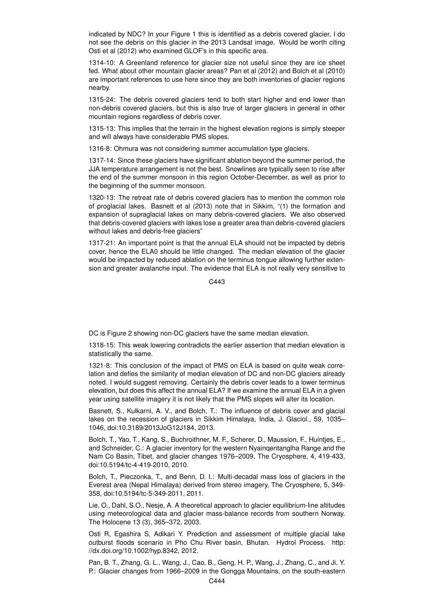indicated by NDC? In your Figure 1 this is identified as a debris covered glacier, I do not see the debris on this glacier in the 2013 Landsat image. Would be worth citing Osti et al (2012) who examined GLOF's in this specific area.

1314-10: A Greenland reference for glacier size not useful since they are ice sheet fed. What about other mountain glacier areas? Pan et al (2012) and Bolch et al (2010) are important references to use here since they are both inventories of glacier regions nearby.

1315-24: The debris covered glaciers tend to both start higher and end lower than non-debris covered glaciers, but this is also true of larger glaciers in general in other mountain regions regardless of debris cover.

1315-13: This implies that the terrain in the highest elevation regions is simply steeper and will always have considerable PMS slopes.

1316-8: Ohmura was not considering summer accumulation type glaciers.

1317-14: Since these glaciers have significant ablation beyond the summer period, the JJA temperature arrangement is not the best. Snowlines are typically seen to rise after the end of the summer monsoon in this region October-December, as well as prior to the beginning of the summer monsoon.

1320-13: The retreat rate of debris covered glaciers has to mention the common role of proglacial lakes. Basnett et al (2013) note that in Sikkim, "(1) the formation and expansion of supraglacial lakes on many debris-covered glaciers. We also observed that debris-covered glaciers with lakes lose a greater area than debris-covered glaciers without lakes and debris-free glaciers"

1317-21: An important point is that the annual ELA should not be impacted by debris cover, hence the ELA0 should be little changed. The median elevation of the glacier would be impacted by reduced ablation on the terminus tongue allowing further extension and greater avalanche input. The evidence that ELA is not really very sensitive to

C<sub>443</sub>

DC is Figure 2 showing non-DC glaciers have the same median elevation.

1318-15: This weak lowering contradicts the earlier assertion that median elevation is statistically the same.

1321-8: This conclusion of the impact of PMS on ELA is based on quite weak correlation and defies the similarity of median elevation of DC and non-DC glaciers already noted. I would suggest removing. Certainly the debris cover leads to a lower terminus elevation, but does this affect the annual ELA? If we examine the annual ELA in a given year using satellite imagery it is not likely that the PMS slopes will alter its location.

Basnett, S., Kulkarni, A. V., and Bolch, T.: The influence of debris cover and glacial lakes on the recession of glaciers in Sikkim Himalaya, India, J. Glaciol., 59, 1035– 1046, doi:10.3189/2013JoG12J184, 2013.

Bolch, T., Yao, T., Kang, S., Buchroithner, M. F., Scherer, D., Maussion, F., Huintjes, E., and Schneider, C.: A glacier inventory for the western Nyainqentanglha Range and the Nam Co Basin, Tibet, and glacier changes 1976–2009, The Cryosphere, 4, 419-433, doi:10.5194/tc-4-419-2010, 2010.

Bolch, T., Pieczonka, T., and Benn, D. I.: Multi-decadal mass loss of glaciers in the Everest area (Nepal Himalaya) derived from stereo imagery, The Cryosphere, 5, 349- 358, doi:10.5194/tc-5-349-2011, 2011.

Lie, O., Dahl, S.O., Nesje, A. A theoretical approach to glacier equilibrium-line altitudes using meteorological data and glacier mass-balance records from southern Norway. The Holocene 13 (3), 365–372, 2003.

Osti R, Egashira S, Adikari Y. Prediction and assessment of multiple glacial lake outburst floods scenario in Pho Chu River basin, Bhutan. Hydrol Process. http: //dx.doi.org/10.1002/hyp.8342, 2012.

Pan, B. T., Zhang, G. L., Wang, J., Cao, B., Geng, H. P., Wang, J., Zhang, C., and Ji, Y. P.: Glacier changes from 1966–2009 in the Gongga Mountains, on the south-eastern